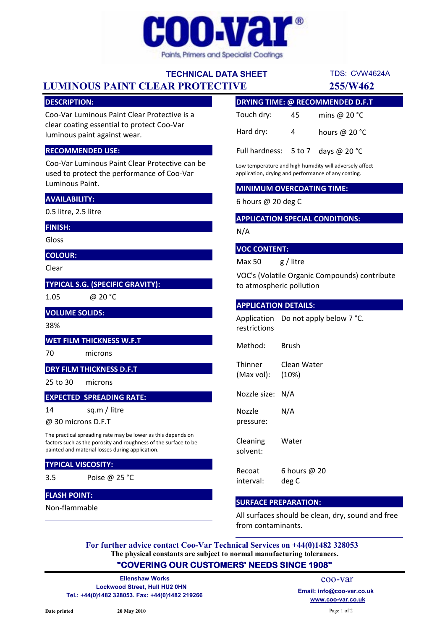

## TECHNICAL DATA SHEET

# LUMINOUS PAINT CLEAR PROTECTIVE 255/W462

### DESCRIPTION:

Coo-Var Luminous Paint Clear Protective is a clear coating essential to protect Coo-Var luminous paint against wear.

#### RECOMMENDED USE:

Coo-Var Luminous Paint Clear Protective can be used to protect the performance of Coo-Var Luminous Paint.

## AVAILABILITY:

0.5 litre, 2.5 litre

#### FINISH:

Gloss

COLOUR:

Clear

## TYPICAL S.G. (SPECIFIC GRAVITY):

1.05

@ 20 °C

VOLUME SOLIDS:

## 38%

14

## WET FILM THICKNESS W.F.T

70 microns

## DRY FILM THICKNESS D.F.T

25 to 30 microns

## EXPECTED SPREADING RATE:

sq.m / litre

@ 30 microns D.F.T

The practical spreading rate may be lower as this depends on factors such as the porosity and roughness of the surface to be painted and material losses during application.

### TYPICAL VISCOSITY:

3.5 Poise @ 25 °C

## FLASH POINT:

Non-flammable

| DRYING TIME: @ RECOMMENDED D.F.T     |    |                 |
|--------------------------------------|----|-----------------|
| Touch dry:                           | 45 | mins @ $20 °C$  |
| Hard dry:                            | 4  | hours @ $20 °C$ |
| Full hardness: $5$ to 7 days @ 20 °C |    |                 |

Low temperature and high humidity will adversely affect application, drying and performance of any coating.

#### MINIMUM OVERCOATING TIME:

6 hours @ 20 deg C

## APPLICATION SPECIAL CONDITIONS:

N/A

### VOC CONTENT:

Max 50 g / litre

VOC's (Volatile Organic Compounds) contribute to atmospheric pollution

## APPLICATION DETAILS:

Application Do not apply below 7 °C. restrictions

Method: Brush

**Thinner** (Max vol): Clean Water (10%)

Nozzle size: N/A

Nozzle pressure: N/A

Cleaning solvent: Water

Recoat interval: 6 hours @ 20 deg C

## SURFACE PREPARATION:

All surfaces should be clean, dry, sound and free from contaminants.

The physical constants are subject to normal manufacturing tolerances. For further advice contact Coo-Var Technical Services on +44(0)1482 328053

## "COVERING OUR CUSTOMERS' NEEDS SINCE 1908"

Lockwood Street, Hull HU2 0HN Tel.: +44(0)1482 328053. Fax: +44(0)1482 219266 Ellenshaw Works

www.coo-var.co.uk coo-var Email: info@coo-var.co.uk

TDS: CVW4624A